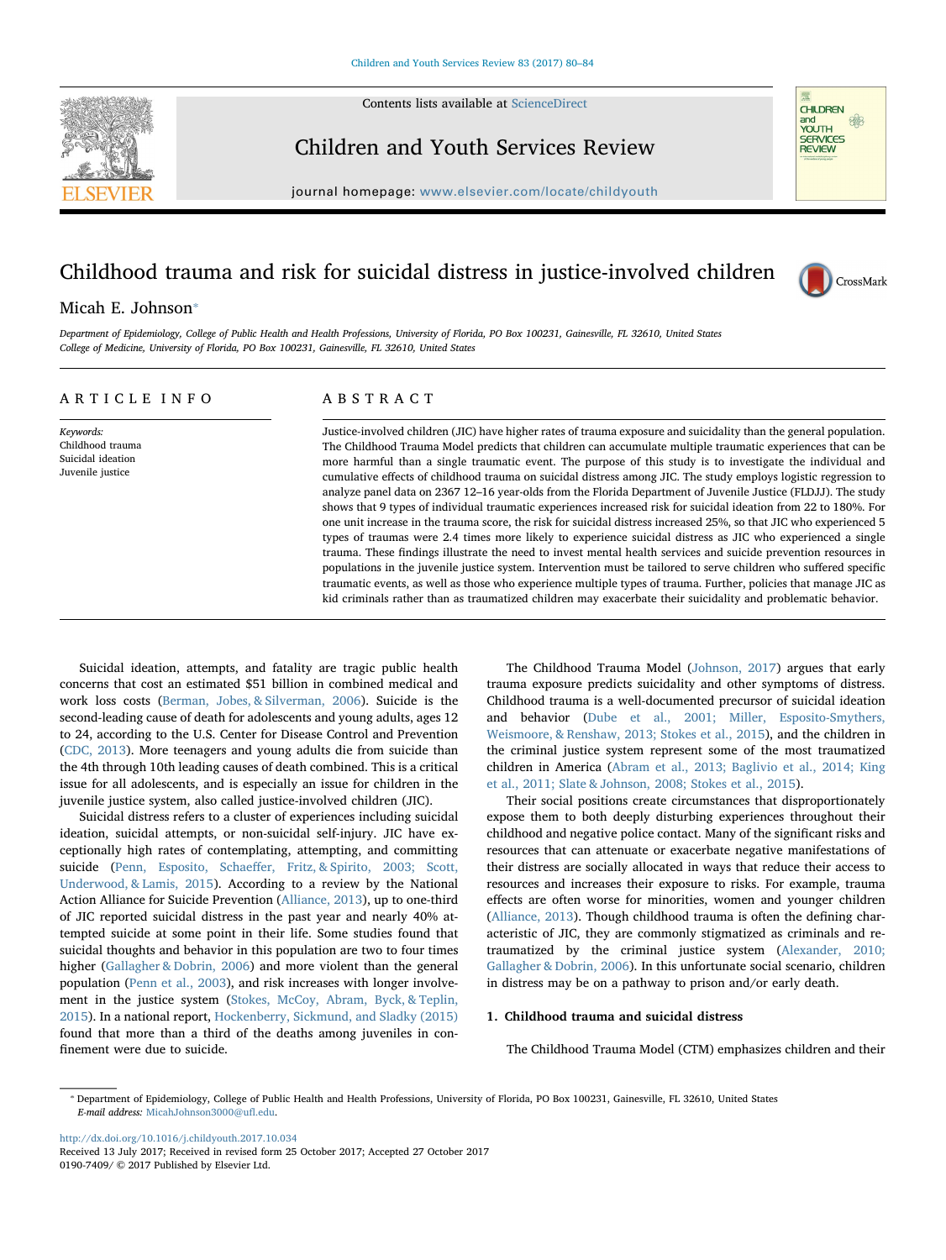



# Children and Youth Services Review

journal homepage: [www.elsevier.com/locate/childyouth](https://www.elsevier.com/locate/childyouth)

# Childhood trauma and risk for suicidal distress in justice-involved children



Department of Epidemiology, College of Public Health and Health Professions, University of Florida, PO Box 100231, Gainesville, FL 32610, United States College of Medicine, University of Florida, PO Box 100231, Gainesville, FL 32610, United States

# ARTICLE INFO

Micah E. Johnson<sup>®</sup>

Keywords: Childhood trauma Suicidal ideation Juvenile justice

# ABSTRACT

Justice-involved children (JIC) have higher rates of trauma exposure and suicidality than the general population. The Childhood Trauma Model predicts that children can accumulate multiple traumatic experiences that can be more harmful than a single traumatic event. The purpose of this study is to investigate the individual and cumulative effects of childhood trauma on suicidal distress among JIC. The study employs logistic regression to analyze panel data on 2367 12–16 year-olds from the Florida Department of Juvenile Justice (FLDJJ). The study shows that 9 types of individual traumatic experiences increased risk for suicidal ideation from 22 to 180%. For one unit increase in the trauma score, the risk for suicidal distress increased 25%, so that JIC who experienced 5 types of traumas were 2.4 times more likely to experience suicidal distress as JIC who experienced a single trauma. These findings illustrate the need to invest mental health services and suicide prevention resources in populations in the juvenile justice system. Intervention must be tailored to serve children who suffered specific traumatic events, as well as those who experience multiple types of trauma. Further, policies that manage JIC as kid criminals rather than as traumatized children may exacerbate their suicidality and problematic behavior.

Suicidal ideation, attempts, and fatality are tragic public health concerns that cost an estimated \$51 billion in combined medical and work loss costs [\(Berman, Jobes, & Silverman, 2006](#page-4-0)). Suicide is the second-leading cause of death for adolescents and young adults, ages 12 to 24, according to the U.S. Center for Disease Control and Prevention ([CDC, 2013](#page-4-1)). More teenagers and young adults die from suicide than the 4th through 10th leading causes of death combined. This is a critical issue for all adolescents, and is especially an issue for children in the juvenile justice system, also called justice-involved children (JIC).

Suicidal distress refers to a cluster of experiences including suicidal ideation, suicidal attempts, or non-suicidal self-injury. JIC have exceptionally high rates of contemplating, attempting, and committing suicide (Penn, Esposito, Schaeff[er, Fritz, & Spirito, 2003; Scott,](#page-4-2) [Underwood, & Lamis, 2015\)](#page-4-2). According to a review by the National Action Alliance for Suicide Prevention [\(Alliance, 2013](#page-4-3)), up to one-third of JIC reported suicidal distress in the past year and nearly 40% attempted suicide at some point in their life. Some studies found that suicidal thoughts and behavior in this population are two to four times higher ([Gallagher & Dobrin, 2006](#page-4-4)) and more violent than the general population [\(Penn et al., 2003](#page-4-2)), and risk increases with longer involvement in the justice system ([Stokes, McCoy, Abram, Byck, & Teplin,](#page-4-5) [2015\)](#page-4-5). In a national report, [Hockenberry, Sickmund, and Sladky \(2015\)](#page-4-6) found that more than a third of the deaths among juveniles in confinement were due to suicide.

The Childhood Trauma Model ([Johnson, 2017](#page-4-7)) argues that early trauma exposure predicts suicidality and other symptoms of distress. Childhood trauma is a well-documented precursor of suicidal ideation and behavior [\(Dube et al., 2001; Miller, Esposito-Smythers,](#page-4-8) [Weismoore, & Renshaw, 2013; Stokes et al., 2015\)](#page-4-8), and the children in the criminal justice system represent some of the most traumatized children in America ([Abram et al., 2013; Baglivio et al., 2014; King](#page-4-9) [et al., 2011; Slate & Johnson, 2008; Stokes et al., 2015](#page-4-9)).

Their social positions create circumstances that disproportionately expose them to both deeply disturbing experiences throughout their childhood and negative police contact. Many of the significant risks and resources that can attenuate or exacerbate negative manifestations of their distress are socially allocated in ways that reduce their access to resources and increases their exposure to risks. For example, trauma effects are often worse for minorities, women and younger children ([Alliance, 2013](#page-4-3)). Though childhood trauma is often the defining characteristic of JIC, they are commonly stigmatized as criminals and retraumatized by the criminal justice system [\(Alexander, 2010;](#page-4-10) [Gallagher & Dobrin, 2006](#page-4-10)). In this unfortunate social scenario, children in distress may be on a pathway to prison and/or early death.

# 1. Childhood trauma and suicidal distress

The Childhood Trauma Model (CTM) emphasizes children and their

<http://dx.doi.org/10.1016/j.childyouth.2017.10.034>

<span id="page-0-0"></span><sup>⁎</sup> Department of Epidemiology, College of Public Health and Health Professions, University of Florida, PO Box 100231, Gainesville, FL 32610, United States E-mail address: [MicahJohnson3000@u](mailto:MicahJohnson3000@ufl.edu)fl.edu.

Received 13 July 2017; Received in revised form 25 October 2017; Accepted 27 October 2017 0190-7409/ © 2017 Published by Elsevier Ltd.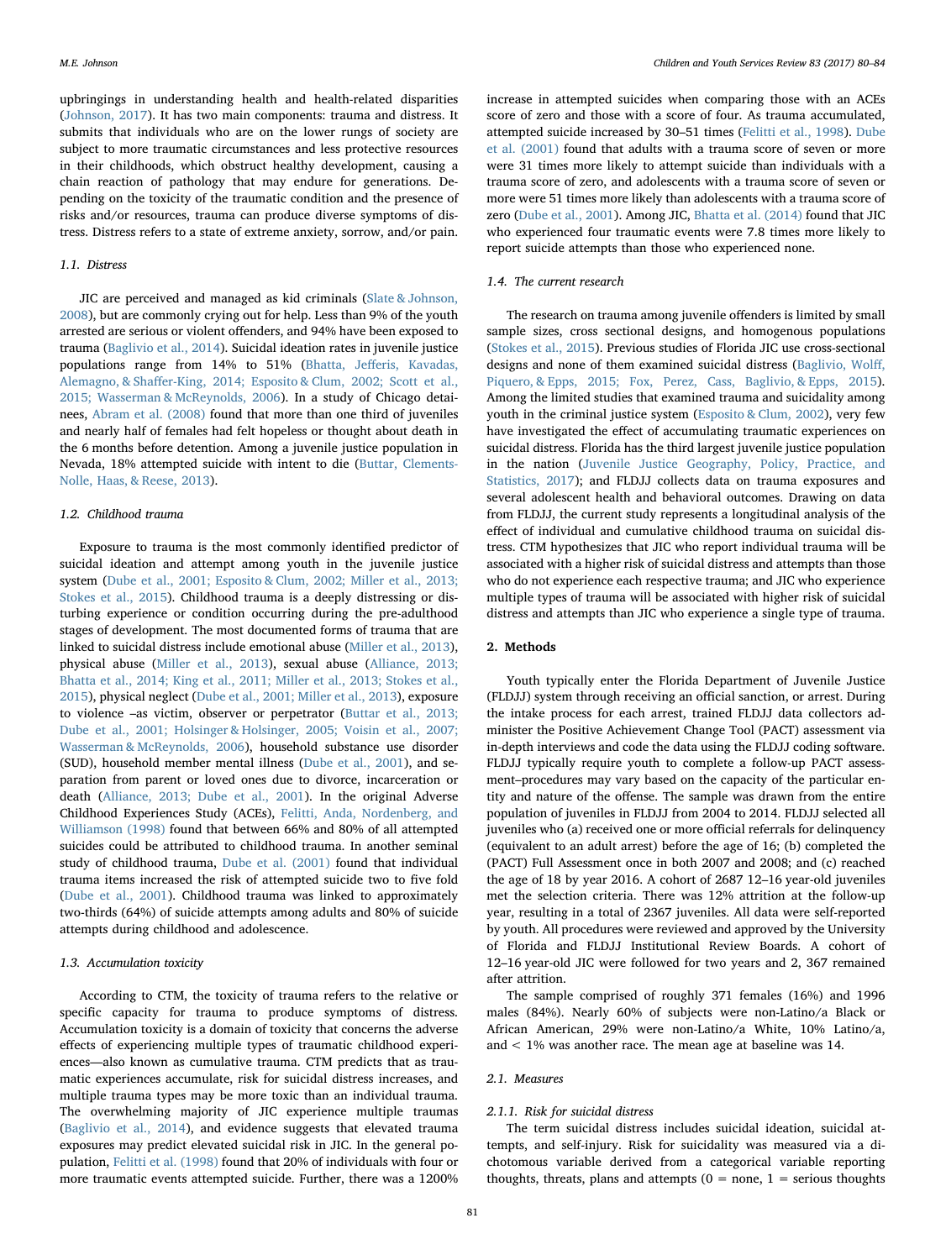upbringings in understanding health and health-related disparities ([Johnson, 2017\)](#page-4-7). It has two main components: trauma and distress. It submits that individuals who are on the lower rungs of society are subject to more traumatic circumstances and less protective resources in their childhoods, which obstruct healthy development, causing a chain reaction of pathology that may endure for generations. Depending on the toxicity of the traumatic condition and the presence of risks and/or resources, trauma can produce diverse symptoms of distress. Distress refers to a state of extreme anxiety, sorrow, and/or pain.

# 1.1. Distress

JIC are perceived and managed as kid criminals [\(Slate & Johnson,](#page-4-11) [2008\)](#page-4-11), but are commonly crying out for help. Less than 9% of the youth arrested are serious or violent offenders, and 94% have been exposed to trauma [\(Baglivio et al., 2014\)](#page-4-12). Suicidal ideation rates in juvenile justice populations range from 14% to 51% (Bhatta, Jeff[eris, Kavadas,](#page-4-13) Alemagno, & Shaff[er-King, 2014; Esposito & Clum, 2002; Scott et al.,](#page-4-13) [2015; Wasserman & McReynolds, 2006\)](#page-4-13). In a study of Chicago detainees, [Abram et al. \(2008\)](#page-4-14) found that more than one third of juveniles and nearly half of females had felt hopeless or thought about death in the 6 months before detention. Among a juvenile justice population in Nevada, 18% attempted suicide with intent to die [\(Buttar, Clements-](#page-4-15)[Nolle, Haas, & Reese, 2013](#page-4-15)).

#### 1.2. Childhood trauma

Exposure to trauma is the most commonly identified predictor of suicidal ideation and attempt among youth in the juvenile justice system ([Dube et al., 2001; Esposito & Clum, 2002; Miller et al., 2013;](#page-4-8) [Stokes et al., 2015](#page-4-8)). Childhood trauma is a deeply distressing or disturbing experience or condition occurring during the pre-adulthood stages of development. The most documented forms of trauma that are linked to suicidal distress include emotional abuse [\(Miller et al., 2013](#page-4-16)), physical abuse ([Miller et al., 2013](#page-4-16)), sexual abuse ([Alliance, 2013;](#page-4-3) [Bhatta et al., 2014; King et al., 2011; Miller et al., 2013; Stokes et al.,](#page-4-3) [2015\)](#page-4-3), physical neglect ([Dube et al., 2001; Miller et al., 2013](#page-4-8)), exposure to violence –as victim, observer or perpetrator [\(Buttar et al., 2013;](#page-4-15) [Dube et al., 2001; Holsinger & Holsinger, 2005; Voisin et al., 2007;](#page-4-15) [Wasserman & McReynolds, 2006](#page-4-15)), household substance use disorder (SUD), household member mental illness [\(Dube et al., 2001](#page-4-8)), and separation from parent or loved ones due to divorce, incarceration or death ([Alliance, 2013; Dube et al., 2001\)](#page-4-3). In the original Adverse Childhood Experiences Study (ACEs), [Felitti, Anda, Nordenberg, and](#page-4-17) [Williamson \(1998\)](#page-4-17) found that between 66% and 80% of all attempted suicides could be attributed to childhood trauma. In another seminal study of childhood trauma, [Dube et al. \(2001\)](#page-4-8) found that individual trauma items increased the risk of attempted suicide two to five fold ([Dube et al., 2001\)](#page-4-8). Childhood trauma was linked to approximately two-thirds (64%) of suicide attempts among adults and 80% of suicide attempts during childhood and adolescence.

# 1.3. Accumulation toxicity

According to CTM, the toxicity of trauma refers to the relative or specific capacity for trauma to produce symptoms of distress. Accumulation toxicity is a domain of toxicity that concerns the adverse effects of experiencing multiple types of traumatic childhood experiences—also known as cumulative trauma. CTM predicts that as traumatic experiences accumulate, risk for suicidal distress increases, and multiple trauma types may be more toxic than an individual trauma. The overwhelming majority of JIC experience multiple traumas ([Baglivio et al., 2014](#page-4-12)), and evidence suggests that elevated trauma exposures may predict elevated suicidal risk in JIC. In the general population, [Felitti et al. \(1998\)](#page-4-17) found that 20% of individuals with four or more traumatic events attempted suicide. Further, there was a 1200%

increase in attempted suicides when comparing those with an ACEs score of zero and those with a score of four. As trauma accumulated, attempted suicide increased by 30–51 times ([Felitti et al., 1998\)](#page-4-17). [Dube](#page-4-8) [et al. \(2001\)](#page-4-8) found that adults with a trauma score of seven or more were 31 times more likely to attempt suicide than individuals with a trauma score of zero, and adolescents with a trauma score of seven or more were 51 times more likely than adolescents with a trauma score of zero ([Dube et al., 2001\)](#page-4-8). Among JIC, [Bhatta et al. \(2014\)](#page-4-13) found that JIC who experienced four traumatic events were 7.8 times more likely to report suicide attempts than those who experienced none.

#### 1.4. The current research

The research on trauma among juvenile offenders is limited by small sample sizes, cross sectional designs, and homogenous populations ([Stokes et al., 2015\)](#page-4-5). Previous studies of Florida JIC use cross-sectional designs and none of them examined suicidal distress [\(Baglivio, Wol](#page-4-18)ff, [Piquero, & Epps, 2015; Fox, Perez, Cass, Baglivio, & Epps, 2015](#page-4-18)). Among the limited studies that examined trauma and suicidality among youth in the criminal justice system ([Esposito & Clum, 2002](#page-4-19)), very few have investigated the effect of accumulating traumatic experiences on suicidal distress. Florida has the third largest juvenile justice population in the nation [\(Juvenile Justice Geography, Policy, Practice, and](#page-4-20) [Statistics, 2017](#page-4-20)); and FLDJJ collects data on trauma exposures and several adolescent health and behavioral outcomes. Drawing on data from FLDJJ, the current study represents a longitudinal analysis of the effect of individual and cumulative childhood trauma on suicidal distress. CTM hypothesizes that JIC who report individual trauma will be associated with a higher risk of suicidal distress and attempts than those who do not experience each respective trauma; and JIC who experience multiple types of trauma will be associated with higher risk of suicidal distress and attempts than JIC who experience a single type of trauma.

# 2. Methods

Youth typically enter the Florida Department of Juvenile Justice (FLDJJ) system through receiving an official sanction, or arrest. During the intake process for each arrest, trained FLDJJ data collectors administer the Positive Achievement Change Tool (PACT) assessment via in-depth interviews and code the data using the FLDJJ coding software. FLDJJ typically require youth to complete a follow-up PACT assessment–procedures may vary based on the capacity of the particular entity and nature of the offense. The sample was drawn from the entire population of juveniles in FLDJJ from 2004 to 2014. FLDJJ selected all juveniles who (a) received one or more official referrals for delinquency (equivalent to an adult arrest) before the age of 16; (b) completed the (PACT) Full Assessment once in both 2007 and 2008; and (c) reached the age of 18 by year 2016. A cohort of 2687 12–16 year-old juveniles met the selection criteria. There was 12% attrition at the follow-up year, resulting in a total of 2367 juveniles. All data were self-reported by youth. All procedures were reviewed and approved by the University of Florida and FLDJJ Institutional Review Boards. A cohort of 12–16 year-old JIC were followed for two years and 2, 367 remained after attrition.

The sample comprised of roughly 371 females (16%) and 1996 males (84%). Nearly 60% of subjects were non-Latino/a Black or African American, 29% were non-Latino/a White, 10% Latino/a, and < 1% was another race. The mean age at baseline was 14.

## 2.1. Measures

#### 2.1.1. Risk for suicidal distress

The term suicidal distress includes suicidal ideation, suicidal attempts, and self-injury. Risk for suicidality was measured via a dichotomous variable derived from a categorical variable reporting thoughts, threats, plans and attempts ( $0 = none$ ,  $1 =$  serious thoughts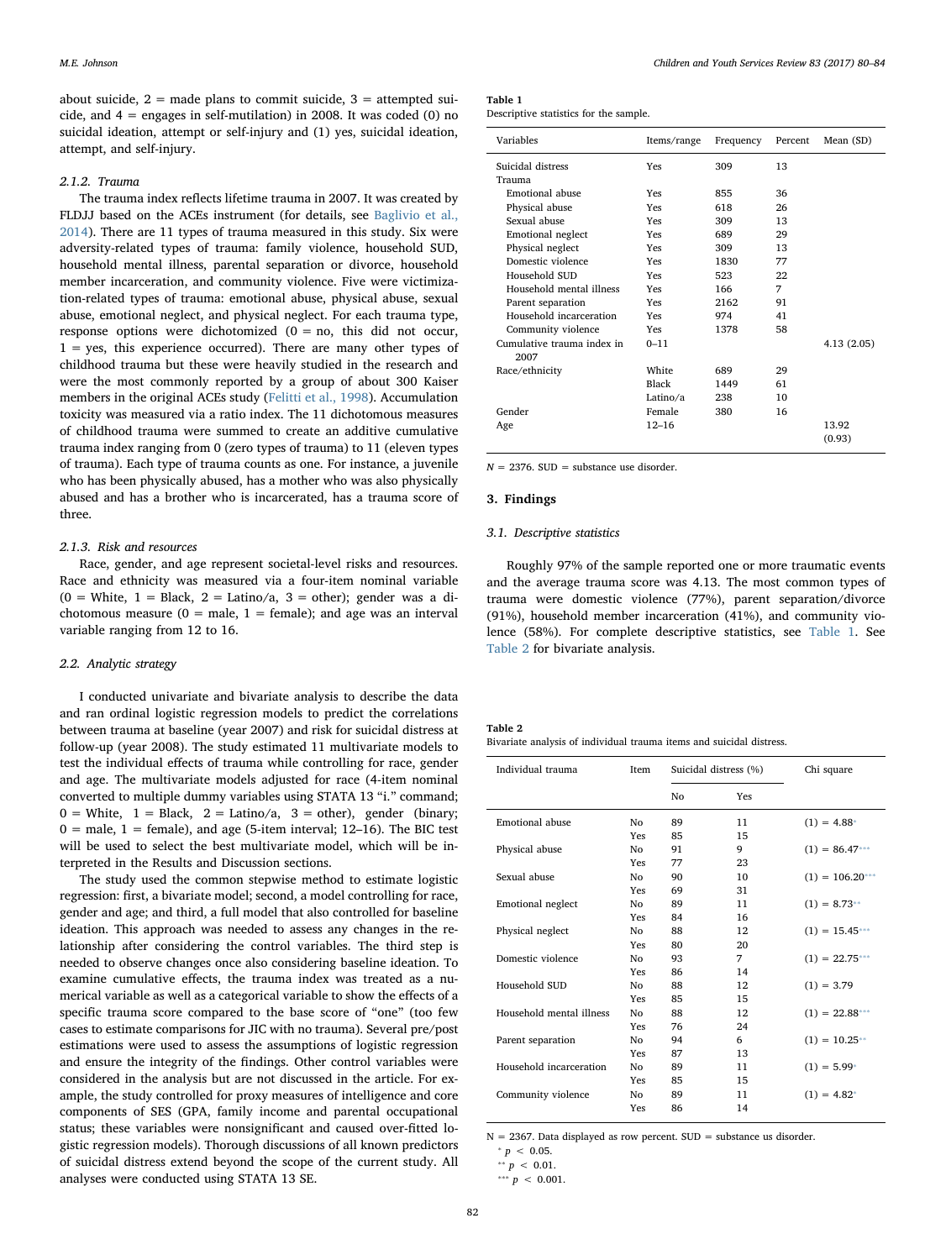about suicide,  $2 =$  made plans to commit suicide,  $3 =$  attempted suicide, and  $4 =$  engages in self-mutilation) in 2008. It was coded (0) no suicidal ideation, attempt or self-injury and (1) yes, suicidal ideation, attempt, and self-injury.

#### 2.1.2. Trauma

The trauma index reflects lifetime trauma in 2007. It was created by FLDJJ based on the ACEs instrument (for details, see [Baglivio et al.,](#page-4-12) [2014\)](#page-4-12). There are 11 types of trauma measured in this study. Six were adversity-related types of trauma: family violence, household SUD, household mental illness, parental separation or divorce, household member incarceration, and community violence. Five were victimization-related types of trauma: emotional abuse, physical abuse, sexual abuse, emotional neglect, and physical neglect. For each trauma type, response options were dichotomized  $(0 = no, this did not occur,$  $1 = yes$ , this experience occurred). There are many other types of childhood trauma but these were heavily studied in the research and were the most commonly reported by a group of about 300 Kaiser members in the original ACEs study [\(Felitti et al., 1998](#page-4-17)). Accumulation toxicity was measured via a ratio index. The 11 dichotomous measures of childhood trauma were summed to create an additive cumulative trauma index ranging from 0 (zero types of trauma) to 11 (eleven types of trauma). Each type of trauma counts as one. For instance, a juvenile who has been physically abused, has a mother who was also physically abused and has a brother who is incarcerated, has a trauma score of three.

#### 2.1.3. Risk and resources

Race, gender, and age represent societal-level risks and resources. Race and ethnicity was measured via a four-item nominal variable  $(0 =$  White,  $1 =$  Black,  $2 =$  Latino/a,  $3 =$  other); gender was a dichotomous measure ( $0 =$  male,  $1 =$  female); and age was an interval variable ranging from 12 to 16.

# 2.2. Analytic strategy

I conducted univariate and bivariate analysis to describe the data and ran ordinal logistic regression models to predict the correlations between trauma at baseline (year 2007) and risk for suicidal distress at follow-up (year 2008). The study estimated 11 multivariate models to test the individual effects of trauma while controlling for race, gender and age. The multivariate models adjusted for race (4-item nominal converted to multiple dummy variables using STATA 13 "i." command;  $0 =$  White,  $1 =$  Black,  $2 =$  Latino/a,  $3 =$  other), gender (binary;  $0 =$  male,  $1 =$  female), and age (5-item interval; 12-16). The BIC test will be used to select the best multivariate model, which will be interpreted in the Results and Discussion sections.

The study used the common stepwise method to estimate logistic regression: first, a bivariate model; second, a model controlling for race, gender and age; and third, a full model that also controlled for baseline ideation. This approach was needed to assess any changes in the relationship after considering the control variables. The third step is needed to observe changes once also considering baseline ideation. To examine cumulative effects, the trauma index was treated as a numerical variable as well as a categorical variable to show the effects of a specific trauma score compared to the base score of "one" (too few cases to estimate comparisons for JIC with no trauma). Several pre/post estimations were used to assess the assumptions of logistic regression and ensure the integrity of the findings. Other control variables were considered in the analysis but are not discussed in the article. For example, the study controlled for proxy measures of intelligence and core components of SES (GPA, family income and parental occupational status; these variables were nonsignificant and caused over-fitted logistic regression models). Thorough discussions of all known predictors of suicidal distress extend beyond the scope of the current study. All analyses were conducted using STATA 13 SE.

<span id="page-2-0"></span>Table 1

| Descriptive statistics for the sample. |  |  |  |
|----------------------------------------|--|--|--|
|----------------------------------------|--|--|--|

| Variables                  | Items/range | Frequency | Percent | Mean (SD)  |
|----------------------------|-------------|-----------|---------|------------|
| Suicidal distress          | Yes         | 309       | 13      |            |
| Trauma                     |             |           |         |            |
| Emotional abuse            | Yes         | 855       | 36      |            |
| Physical abuse             | Yes         | 618       | 26      |            |
| Sexual abuse               | Yes         | 309       | 13      |            |
| <b>Emotional neglect</b>   | Yes         | 689       | 29      |            |
| Physical neglect           | Yes         | 309       | 13      |            |
| Domestic violence          | Yes         | 1830      | 77      |            |
| Household SUD              | Yes         | 523       | 22      |            |
| Household mental illness   | Yes         | 166       | 7       |            |
| Parent separation          | Yes         | 2162      | 91      |            |
| Household incarceration    | Yes         | 974       | 41      |            |
| Community violence         | <b>Yes</b>  | 1378      | 58      |            |
| Cumulative trauma index in | $0 - 11$    |           |         | 4.13(2.05) |
| 2007                       |             |           |         |            |
| Race/ethnicity             | White       | 689       | 29      |            |
|                            | Black       | 1449      | 61      |            |
|                            | Latino/a    | 238       | 10      |            |
| Gender                     | Female      | 380       | 16      |            |
| Age                        | $12 - 16$   |           |         | 13.92      |
|                            |             |           |         | (0.93)     |
|                            |             |           |         |            |

 $N = 2376$ . SUD = substance use disorder.

### 3. Findings

#### 3.1. Descriptive statistics

Roughly 97% of the sample reported one or more traumatic events and the average trauma score was 4.13. The most common types of trauma were domestic violence (77%), parent separation/divorce (91%), household member incarceration (41%), and community violence (58%). For complete descriptive statistics, see [Table 1.](#page-2-0) See [Table](#page-2-1) 2 for bivariate analysis.

<span id="page-2-1"></span>

| ı<br>ш<br> |  |
|------------|--|
|------------|--|

Bivariate analysis of individual trauma items and suicidal distress.

| Individual trauma        | <b>Item</b>    | Suicidal distress (%) |     | Chi square        |
|--------------------------|----------------|-----------------------|-----|-------------------|
|                          |                | No                    | Yes |                   |
| Emotional abuse          | No             | 89                    | 11  | $(1) = 4.88*$     |
|                          | Yes            | 85                    | 15  |                   |
| Physical abuse           | N <sub>0</sub> | 91                    | 9   | $(1) = 86.47***$  |
|                          | Yes            | 77                    | 23  |                   |
| Sexual abuse             | No             | 90                    | 10  | $(1) = 106.20***$ |
|                          | Yes            | 69                    | 31  |                   |
| Emotional neglect        | N <sub>0</sub> | 89                    | 11  | $(1) = 8.73**$    |
|                          | Yes            | 84                    | 16  |                   |
| Physical neglect         | N <sub>0</sub> | 88                    | 12  | $(1) = 15.45***$  |
|                          | Yes            | 80                    | 20  |                   |
| Domestic violence        | N <sub>0</sub> | 93                    | 7   | $(1) = 22.75***$  |
|                          | Yes            | 86                    | 14  |                   |
| Household SUD            | No             | 88                    | 12  | $(1) = 3.79$      |
|                          | Yes            | 85                    | 15  |                   |
| Household mental illness | No             | 88                    | 12  | $(1) = 22.88***$  |
|                          | Yes            | 76                    | 24  |                   |
| Parent separation        | No             | 94                    | 6   | $(1) = 10.25**$   |
|                          | Yes            | 87                    | 13  |                   |
| Household incarceration  | N <sub>0</sub> | 89                    | 11  | $(1) = 5.99*$     |
|                          | Yes            | 85                    | 15  |                   |
| Community violence       | No             | 89                    | 11  | $(1) = 4.82^*$    |
|                          | Yes            | 86                    | 14  |                   |

N = 2367. Data displayed as row percent. SUD = substance us disorder.

<span id="page-2-2"></span> $p < 0.05$ .

<span id="page-2-3"></span>\*\*\*  $p$  < 0.001.

<span id="page-2-4"></span><sup>\*\*</sup>  $p$  < 0.01.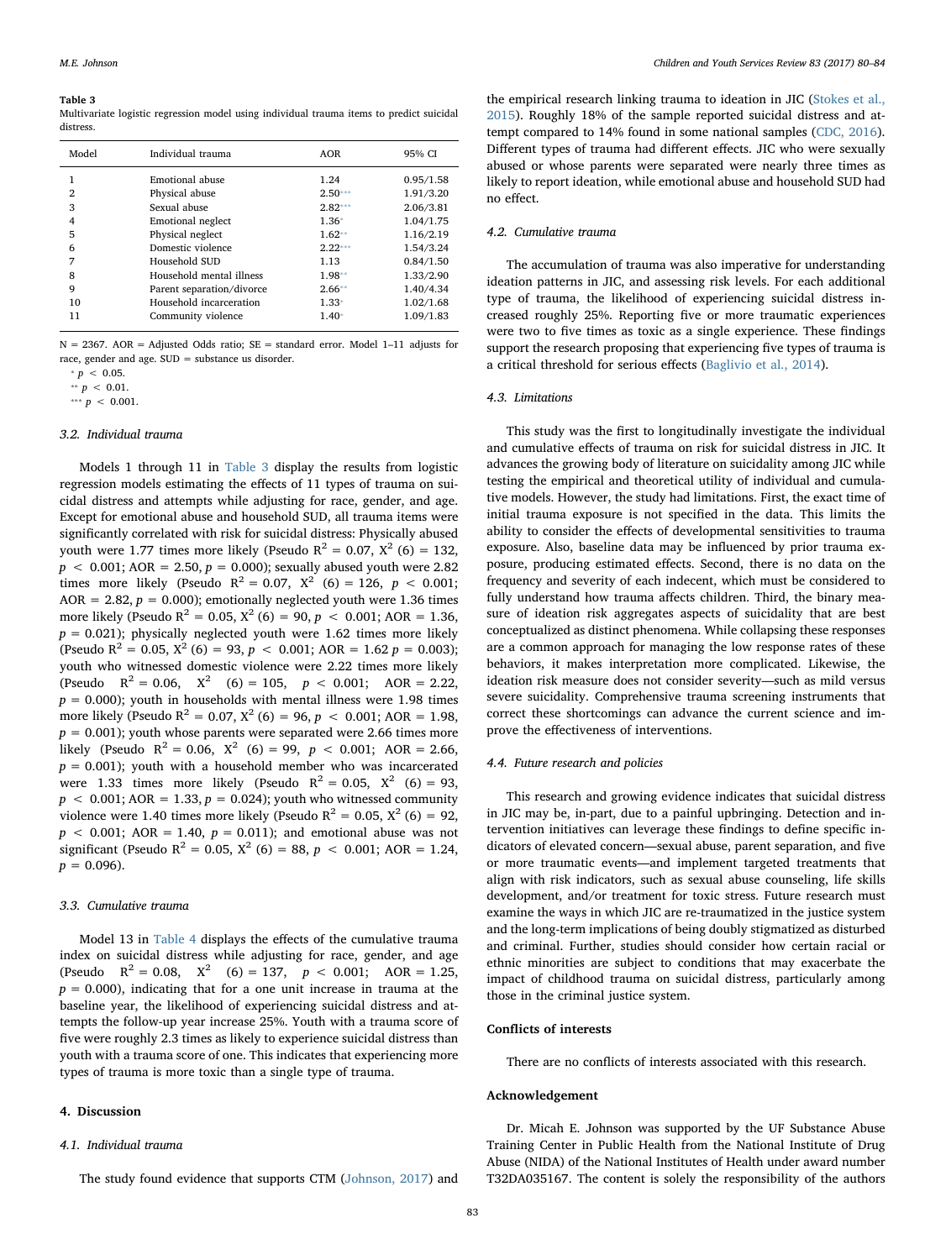#### <span id="page-3-0"></span>Table 3

Multivariate logistic regression model using individual trauma items to predict suicidal distress.

| Model | Individual trauma         | AOR       | 95% CI    |
|-------|---------------------------|-----------|-----------|
| 1     | Emotional abuse           | 1.24      | 0.95/1.58 |
| 2     | Physical abuse            | $2.50***$ | 1.91/3.20 |
| 3     | Sexual abuse              | $2.82***$ | 2.06/3.81 |
| 4     | Emotional neglect         | $1.36*$   | 1.04/1.75 |
| 5     | Physical neglect          | $1.62**$  | 1.16/2.19 |
| 6     | Domestic violence         | $2.22***$ | 1.54/3.24 |
| 7     | Household SUD             | 1.13      | 0.84/1.50 |
| 8     | Household mental illness  | $1.98**$  | 1.33/2.90 |
| 9     | Parent separation/divorce | $2.66**$  | 1.40/4.34 |
| 10    | Household incarceration   | $1.33*$   | 1.02/1.68 |
| 11    | Community violence        | $1.40*$   | 1.09/1.83 |

 $N = 2367$ . AOR = Adjusted Odds ratio;  $SE =$  standard error. Model 1-11 adjusts for race, gender and age. SUD = substance us disorder.

```
* p < 0.05.
```

```
** p < 0.01.
```
<span id="page-3-1"></span>\*\*\*  $p \, < \, 0.001$ .

### 3.2. Individual trauma

Models 1 through 11 in [Table 3](#page-3-0) display the results from logistic regression models estimating the effects of 11 types of trauma on suicidal distress and attempts while adjusting for race, gender, and age. Except for emotional abuse and household SUD, all trauma items were significantly correlated with risk for suicidal distress: Physically abused youth were 1.77 times more likely (Pseudo  $R^2 = 0.07$ ,  $X^2$  (6) = 132,  $p > 0.001$ ; AOR = 2.50,  $p = 0.000$ ); sexually abused youth were 2.82 times more likely (Pseudo  $R^2 = 0.07$ ,  $X^2$  (6) = 126,  $p < 0.001$ ; AOR = 2.82,  $p = 0.000$ ); emotionally neglected youth were 1.36 times more likely (Pseudo R<sup>2</sup> = 0.05, X<sup>2</sup> (6) = 90, p < 0.001; AOR = 1.36,  $p = 0.021$ ); physically neglected youth were 1.62 times more likely (Pseudo R<sup>2</sup> = 0.05, X<sup>2</sup> (6) = 93, p < 0.001; AOR = 1.62 p = 0.003); youth who witnessed domestic violence were 2.22 times more likely (Pseudo  $R^2 = 0.06$ ,  $X^2$  (6) = 105,  $p < 0.001$ ; AOR = 2.22,  $p = 0.000$ ); youth in households with mental illness were 1.98 times more likely (Pseudo R<sup>2</sup> = 0.07, X<sup>2</sup> (6) = 96, p < 0.001; AOR = 1.98,  $p = 0.001$ ); youth whose parents were separated were 2.66 times more likely (Pseudo  $R^2 = 0.06$ ,  $X^2$  (6) = 99,  $p < 0.001$ ; AOR = 2.66,  $p = 0.001$ ); youth with a household member who was incarcerated were 1.33 times more likely (Pseudo  $R^2 = 0.05$ ,  $X^2$  (6) = 93,  $p < 0.001$ ; AOR = 1.33,  $p = 0.024$ ); youth who witnessed community violence were 1.40 times more likely (Pseudo  $R^2 = 0.05$ ,  $X^2$  (6) = 92,  $p < 0.001$ ; AOR = 1.40,  $p = 0.011$ ); and emotional abuse was not significant (Pseudo R<sup>2</sup> = 0.05, X<sup>2</sup> (6) = 88, p < 0.001; AOR = 1.24,  $p = 0.096$ ).

#### 3.3. Cumulative trauma

Model 13 in [Table 4](#page-4-21) displays the effects of the cumulative trauma index on suicidal distress while adjusting for race, gender, and age (Pseudo  $R^2 = 0.08$ ,  $X^2$  (6) = 137,  $p < 0.001$ ; AOR = 1.25,  $p = 0.000$ ), indicating that for a one unit increase in trauma at the baseline year, the likelihood of experiencing suicidal distress and attempts the follow-up year increase 25%. Youth with a trauma score of five were roughly 2.3 times as likely to experience suicidal distress than youth with a trauma score of one. This indicates that experiencing more types of trauma is more toxic than a single type of trauma.

#### 4. Discussion

#### 4.1. Individual trauma

The study found evidence that supports CTM [\(Johnson, 2017\)](#page-4-7) and

83

the empirical research linking trauma to ideation in JIC [\(Stokes et al.,](#page-4-5) [2015\)](#page-4-5). Roughly 18% of the sample reported suicidal distress and attempt compared to 14% found in some national samples [\(CDC, 2016](#page-4-22)). Different types of trauma had different effects. JIC who were sexually abused or whose parents were separated were nearly three times as likely to report ideation, while emotional abuse and household SUD had no effect.

## 4.2. Cumulative trauma

The accumulation of trauma was also imperative for understanding ideation patterns in JIC, and assessing risk levels. For each additional type of trauma, the likelihood of experiencing suicidal distress increased roughly 25%. Reporting five or more traumatic experiences were two to five times as toxic as a single experience. These findings support the research proposing that experiencing five types of trauma is a critical threshold for serious effects ([Baglivio et al., 2014\)](#page-4-12).

#### 4.3. Limitations

This study was the first to longitudinally investigate the individual and cumulative effects of trauma on risk for suicidal distress in JIC. It advances the growing body of literature on suicidality among JIC while testing the empirical and theoretical utility of individual and cumulative models. However, the study had limitations. First, the exact time of initial trauma exposure is not specified in the data. This limits the ability to consider the effects of developmental sensitivities to trauma exposure. Also, baseline data may be influenced by prior trauma exposure, producing estimated effects. Second, there is no data on the frequency and severity of each indecent, which must be considered to fully understand how trauma affects children. Third, the binary measure of ideation risk aggregates aspects of suicidality that are best conceptualized as distinct phenomena. While collapsing these responses are a common approach for managing the low response rates of these behaviors, it makes interpretation more complicated. Likewise, the ideation risk measure does not consider severity—such as mild versus severe suicidality. Comprehensive trauma screening instruments that correct these shortcomings can advance the current science and improve the effectiveness of interventions.

#### 4.4. Future research and policies

This research and growing evidence indicates that suicidal distress in JIC may be, in-part, due to a painful upbringing. Detection and intervention initiatives can leverage these findings to define specific indicators of elevated concern—sexual abuse, parent separation, and five or more traumatic events—and implement targeted treatments that align with risk indicators, such as sexual abuse counseling, life skills development, and/or treatment for toxic stress. Future research must examine the ways in which JIC are re-traumatized in the justice system and the long-term implications of being doubly stigmatized as disturbed and criminal. Further, studies should consider how certain racial or ethnic minorities are subject to conditions that may exacerbate the impact of childhood trauma on suicidal distress, particularly among those in the criminal justice system.

## Conflicts of interests

There are no conflicts of interests associated with this research.

#### Acknowledgement

Dr. Micah E. Johnson was supported by the UF Substance Abuse Training Center in Public Health from the National Institute of Drug Abuse (NIDA) of the National Institutes of Health under award number T32DA035167. The content is solely the responsibility of the authors